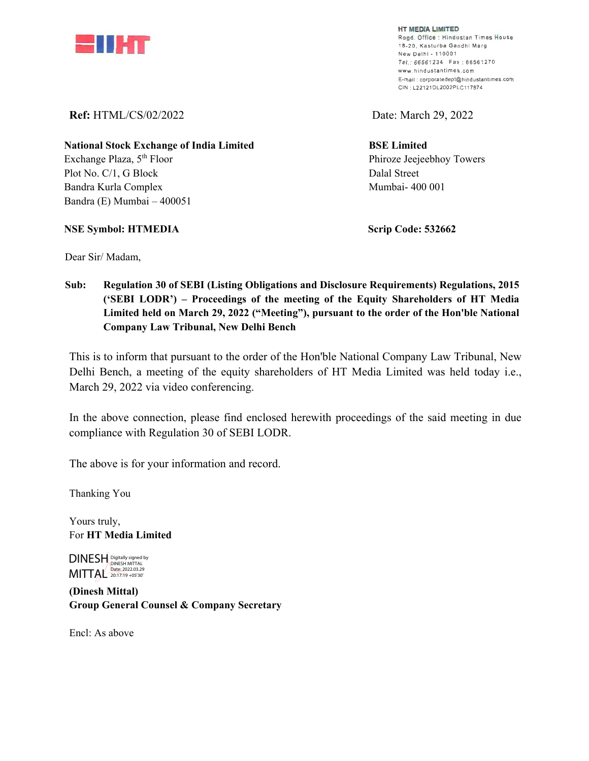

**HT MEDIA LIMITED**  Regd. Office : Hindustan Times House 18-20, Kasturba Gandhi Marg New Delhi - 110001 Tel : 66561234 Fax : 66561270 **www . hind usta nti mes .co m E•mail : corporatedept@hindustantimes.com**  CIN : L22121DL2002PLC117874

**Ref:** HTML/CS/02/2022 Date: March 29, 2022

**BSE Limited**  Phiroze Jeejeebhoy Towers Dalal Street Mumbai- 400 001

**National Stock Exchange of India Limited**  Exchange Plaza, 5<sup>th</sup> Floor Plot No. C/1, G Block Bandra Kurla Complex Bandra (E) Mumbai – 400051

**NSE Symbol: HTMEDIA** 

 **Scrip Code: 532662** 

Dear Sir/ Madam,

 **Sub: Regulation 30 of SEBI (Listing Obligations and Disclosure Requirements) Regulations, 2015 ('SEBI LODR') – Proceedings of the meeting of the Equity Shareholders of HT Media Limited held on March 29, 2022 ("Meeting"), pursuant to the order of the Hon'ble National Company Law Tribunal, New Delhi Bench** 

This is to inform that pursuant to the order of the Hon'ble National Company Law Tribunal, New Delhi Bench, a meeting of the equity shareholders of HT Media Limited was held today i.e., March 29, 2022 via video conferencing.

In the above connection, please find enclosed herewith proceedings of the said meeting in due compliance with Regulation 30 of SEBI LODR.

The above is for your information and record.

Thanking You

Yours truly, For **HT Media Limited** 

DINESH Digitally signed by MITTAL Date: 2022.03.29

**(Dinesh Mittal) Group General Counsel & Company Secretary** 

Encl: As above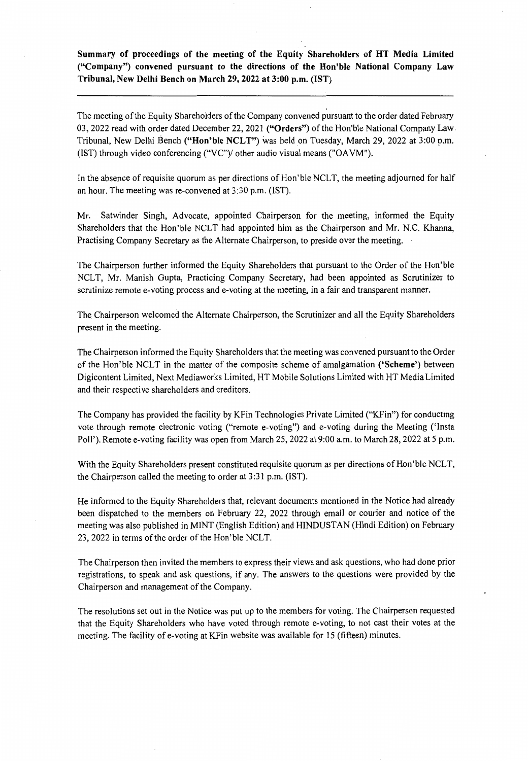**Summary of proceedings of the meeting of the Equity Shareholders of HT Media Limited ("Company") convened pursuant to the directions of the Hon'ble National Company Law Tribunal, New Delhi Bench on March 29, 2022 at 3:00 p.m. (1ST)** 

The meeting of the Equity Shareholders of the Company convened pursuant to the order dated February 03, 2022 read with order dated December 22, 2021 **("Orders")** of the Hon'ble National Company Law Tribunal, New Delhi Bench **("Hon'ble NCLT")** was held on Tuesday, March 29, 2022 at 3:00 p.m. (1ST) through video conferencing ("VC")/ other audio visual means ("OA VM").

In the absence of requisite quorum as per directions of Hon'ble NCLT, the meeting adjourned for half an hour. The meeting was re-convened at 3:30 p.m. (1ST).

Mr. Satwinder Singh, Advocate, appointed Chairperson for the meeting, informed the Equity Shareholders that the Hon'ble NCLT had appointed him as the Chairperson and Mr. N.C. Khanna, Practising Company Secretary as the Alternate Chairperson, to preside over the meeting.

The Chairperson further informed the Equity Shareholders that pursuant to the Order of the Hon'ble NCLT, Mr. Manish Gupta, Practicing Company Secretary, had been appointed as Scrutinizer to scrutinize remote e-voting process and e-voting at the meeting, in a fair and transparent manner.

The Chairperson welcomed the Alternate Chairperson, the Scrutinizer and all the Equity Shareholders present in the meeting.

The Chairperson informed the Equity Shareholders that the meeting was convened pursuant to the Order of the Hon'ble NCLT in the matter of the composite scheme of amalgamation **('Scheme')** between Digicontent Limited, Next Mediaworks Limited, HT Mobile Solutions Limited with HT Media Limited and their respective shareholders and creditors.

The Company has provided the facility by KFin Technologies Private Limited ("KFin") for conducting vote through remote electronic voting ("remote e-voting") and e-voting during the Meeting ('Insta Poll'). Remote e-voting facility was open from March 25, 2022 at 9:00 a.m. to March 28, 2022 at 5 p.m.

With the Equity Shareholders present constituted requisite quorum as per directions of Hon'ble NCLT, the Chairperson called the meeting to order at 3:31 p.m. (1ST).

He informed to the Equity Shareholders that, relevant documents mentioned in the Notice had already been dispatched to the members on February 22, 2022 through email or courier and notice of the meeting was also published in MINT (English Edition) and HINDUSTAN (Hindi Edition) on February 23, 2022 in terms of the order of the Hon'ble NCLT.

The Chairperson then invited the members to express their views and ask questions, who had done prior registrations, to speak and ask questions, if any. The answers to the questions were provided by the Chairperson and management of the Company.

The resolutions set out in the Notice was put up to the members for voting. The Chairperson requested that the Equity Shareholders who have voted through remote e-voting, to not cast their votes at the meeting. The facility of e-voting at KFin website was available for 15 (fifteen) minutes.